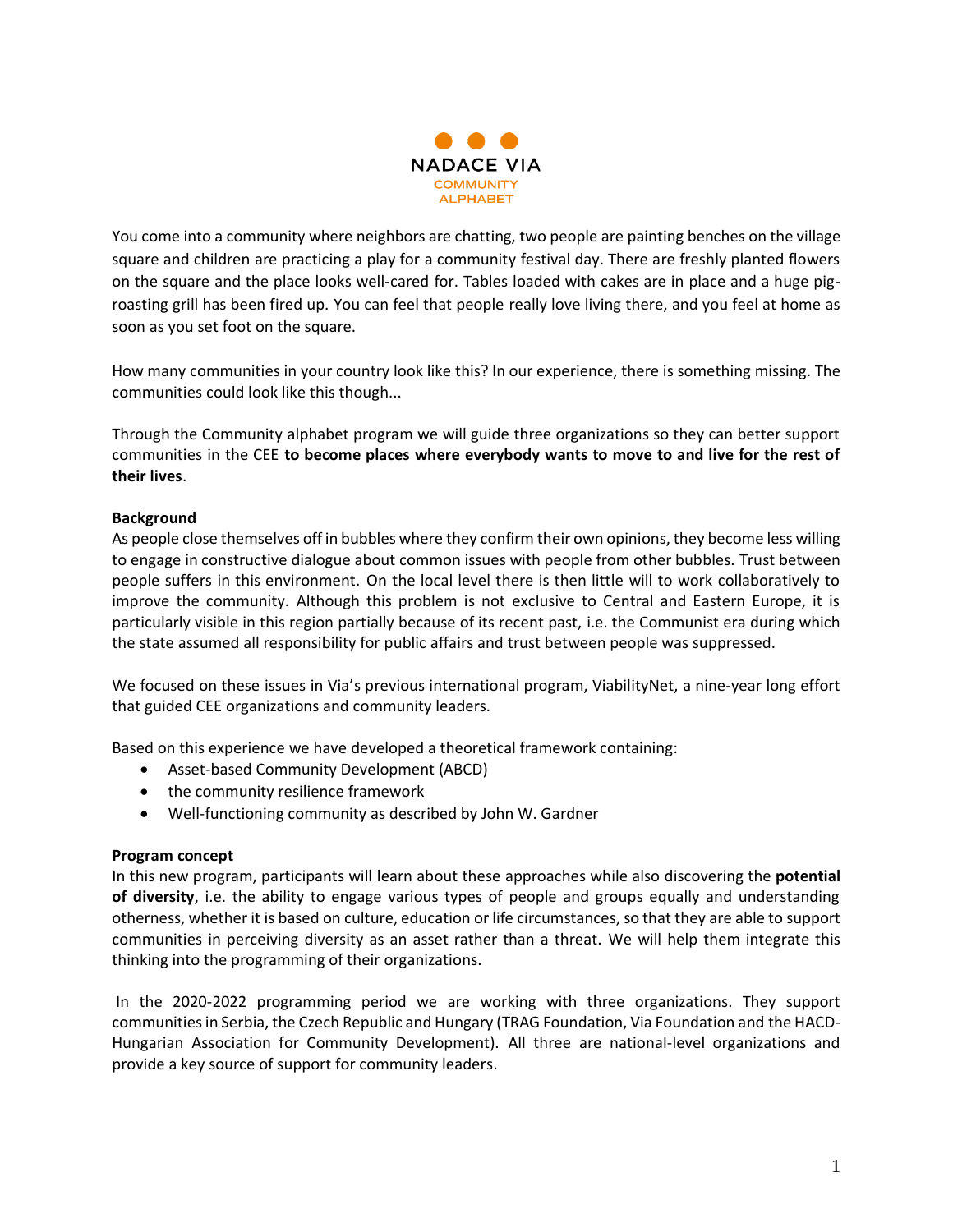

You come into a community where neighbors are chatting, two people are painting benches on the village square and children are practicing a play for a community festival day. There are freshly planted flowers on the square and the place looks well-cared for. Tables loaded with cakes are in place and a huge pigroasting grill has been fired up. You can feel that people really love living there, and you feel at home as soon as you set foot on the square.

How many communities in your country look like this? In our experience, there is something missing. The communities could look like this though...

Through the Community alphabet program we will guide three organizations so they can better support communities in the CEE **to become places where everybody wants to move to and live for the rest of their lives**.

# **Background**

As people close themselves off in bubbles where they confirm their own opinions, they become less willing to engage in constructive dialogue about common issues with people from other bubbles. Trust between people suffers in this environment. On the local level there is then little will to work collaboratively to improve the community. Although this problem is not exclusive to Central and Eastern Europe, it is particularly visible in this region partially because of its recent past, i.e. the Communist era during which the state assumed all responsibility for public affairs and trust between people was suppressed.

We focused on these issues in Via's previous international program, ViabilityNet, a nine-year long effort that guided CEE organizations and community leaders.

Based on this experience we have developed a theoretical framework containing:

- Asset-based Community Development (ABCD)
- the community resilience framework
- Well-functioning community as described by John W. Gardner

# **Program concept**

In this new program, participants will learn about these approaches while also discovering the **potential of diversity**, i.e. the ability to engage various types of people and groups equally and understanding otherness, whether it is based on culture, education or life circumstances, so that they are able to support communities in perceiving diversity as an asset rather than a threat. We will help them integrate this thinking into the programming of their organizations.

In the 2020-2022 programming period we are working with three organizations. They support communities in Serbia, the Czech Republic and Hungary (TRAG Foundation, Via Foundation and the HACD-Hungarian Association for Community Development). All three are national-level organizations and provide a key source of support for community leaders.